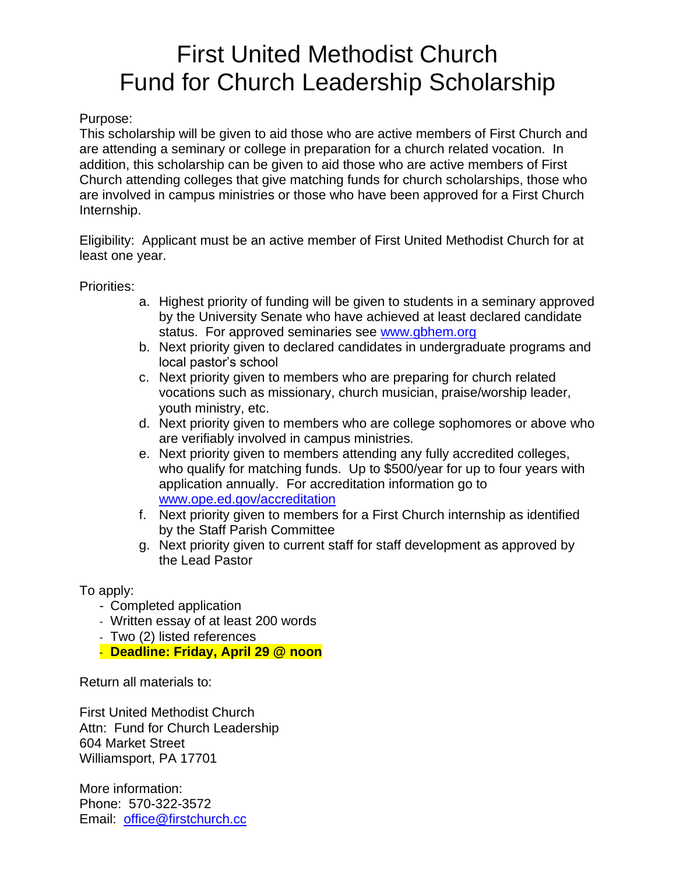# First United Methodist Church Fund for Church Leadership Scholarship

## Purpose:

This scholarship will be given to aid those who are active members of First Church and are attending a seminary or college in preparation for a church related vocation. In addition, this scholarship can be given to aid those who are active members of First Church attending colleges that give matching funds for church scholarships, those who are involved in campus ministries or those who have been approved for a First Church Internship.

Eligibility: Applicant must be an active member of First United Methodist Church for at least one year.

### Priorities:

- a. Highest priority of funding will be given to students in a seminary approved by the University Senate who have achieved at least declared candidate status. For approved seminaries see [www.gbhem.org](http://www.gbhem.org/)
- b. Next priority given to declared candidates in undergraduate programs and local pastor's school
- c. Next priority given to members who are preparing for church related vocations such as missionary, church musician, praise/worship leader, youth ministry, etc.
- d. Next priority given to members who are college sophomores or above who are verifiably involved in campus ministries.
- e. Next priority given to members attending any fully accredited colleges, who qualify for matching funds. Up to \$500/year for up to four years with application annually. For accreditation information go to [www.ope.ed.gov/accreditation](http://www.ope.ed.gov/accreditation)
- f. Next priority given to members for a First Church internship as identified by the Staff Parish Committee
- g. Next priority given to current staff for staff development as approved by the Lead Pastor

To apply:

- Completed application
- Written essay of at least 200 words
- Two (2) listed references
- **Deadline: Friday, April 29 @ noon**

Return all materials to:

First United Methodist Church Attn: Fund for Church Leadership 604 Market Street Williamsport, PA 17701

More information: Phone: 570-322-3572 Email: [office@firstchurch.cc](mailto:fumc2@comcast.net)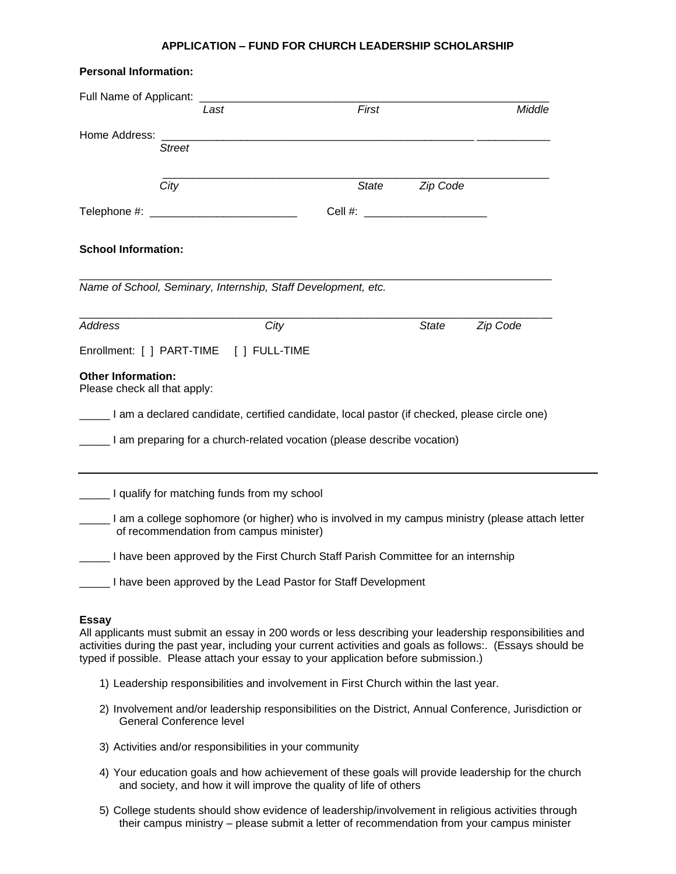#### **APPLICATION – FUND FOR CHURCH LEADERSHIP SCHOLARSHIP**

| <b>Personal Information:</b>                                                                        |                                                         |                                                                                      |          |                                                                                                                                                                                                                         |
|-----------------------------------------------------------------------------------------------------|---------------------------------------------------------|--------------------------------------------------------------------------------------|----------|-------------------------------------------------------------------------------------------------------------------------------------------------------------------------------------------------------------------------|
|                                                                                                     | Last                                                    | First                                                                                |          | Middle                                                                                                                                                                                                                  |
|                                                                                                     |                                                         |                                                                                      |          |                                                                                                                                                                                                                         |
| <b>Street</b>                                                                                       |                                                         |                                                                                      |          |                                                                                                                                                                                                                         |
|                                                                                                     |                                                         |                                                                                      |          |                                                                                                                                                                                                                         |
| City                                                                                                |                                                         | <b>State</b>                                                                         | Zip Code |                                                                                                                                                                                                                         |
|                                                                                                     |                                                         | Cell #: ________________________                                                     |          |                                                                                                                                                                                                                         |
| <b>School Information:</b>                                                                          |                                                         |                                                                                      |          |                                                                                                                                                                                                                         |
| Name of School, Seminary, Internship, Staff Development, etc.                                       |                                                         |                                                                                      |          |                                                                                                                                                                                                                         |
| <b>Address</b>                                                                                      | City                                                    |                                                                                      | State    | Zip Code                                                                                                                                                                                                                |
| Enrollment: [ ] PART-TIME [ ] FULL-TIME                                                             |                                                         |                                                                                      |          |                                                                                                                                                                                                                         |
| <b>Other Information:</b><br>Please check all that apply:                                           |                                                         |                                                                                      |          |                                                                                                                                                                                                                         |
| Lam a declared candidate, certified candidate, local pastor (if checked, please circle one)         |                                                         |                                                                                      |          |                                                                                                                                                                                                                         |
| I am preparing for a church-related vocation (please describe vocation)                             |                                                         |                                                                                      |          |                                                                                                                                                                                                                         |
| Let I qualify for matching funds from my school                                                     |                                                         |                                                                                      |          |                                                                                                                                                                                                                         |
|                                                                                                     | of recommendation from campus minister)                 |                                                                                      |          | I am a college sophomore (or higher) who is involved in my campus ministry (please attach letter                                                                                                                        |
|                                                                                                     |                                                         | I have been approved by the First Church Staff Parish Committee for an internship    |          |                                                                                                                                                                                                                         |
|                                                                                                     |                                                         | I have been approved by the Lead Pastor for Staff Development                        |          |                                                                                                                                                                                                                         |
| <b>Essay</b><br>typed if possible. Please attach your essay to your application before submission.) |                                                         |                                                                                      |          | All applicants must submit an essay in 200 words or less describing your leadership responsibilities and<br>activities during the past year, including your current activities and goals as follows:. (Essays should be |
|                                                                                                     |                                                         | 1) Leadership responsibilities and involvement in First Church within the last year. |          |                                                                                                                                                                                                                         |
| <b>General Conference level</b>                                                                     |                                                         |                                                                                      |          | 2) Involvement and/or leadership responsibilities on the District, Annual Conference, Jurisdiction or                                                                                                                   |
|                                                                                                     | 3) Activities and/or responsibilities in your community |                                                                                      |          |                                                                                                                                                                                                                         |
|                                                                                                     |                                                         | and society, and how it will improve the quality of life of others                   |          | 4) Your education goals and how achievement of these goals will provide leadership for the church                                                                                                                       |
|                                                                                                     |                                                         |                                                                                      |          | 5) College students should show evidence of leadership/involvement in religious activities through<br>their campus ministry - please submit a letter of recommendation from your campus minister                        |